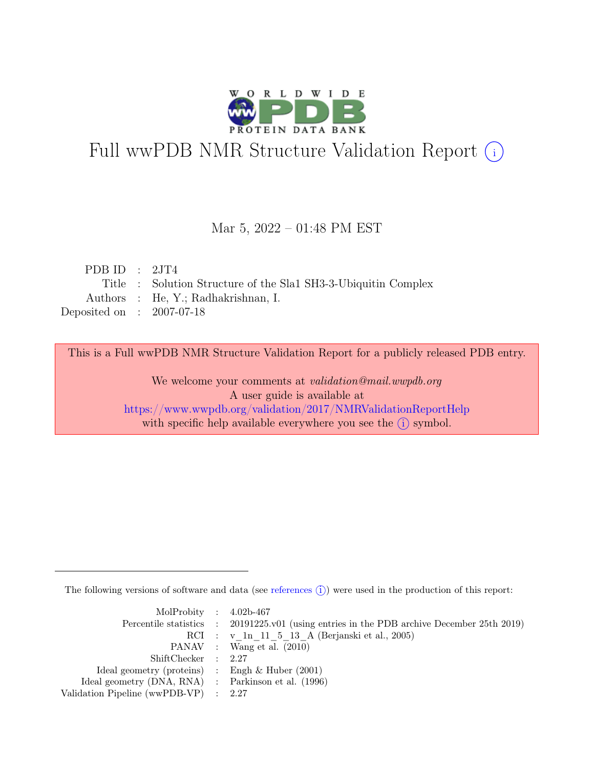

# Full wwPDB NMR Structure Validation Report (i)

## Mar 5, 2022 – 01:48 PM EST

| PDB ID : $2JT4$             |                                                                |
|-----------------------------|----------------------------------------------------------------|
|                             | Title : Solution Structure of the Sla1 SH3-3-Ubiquitin Complex |
|                             | Authors : He, Y.; Radhakrishnan, I.                            |
| Deposited on : $2007-07-18$ |                                                                |

This is a Full wwPDB NMR Structure Validation Report for a publicly released PDB entry.

We welcome your comments at *validation@mail.wwpdb.org* A user guide is available at <https://www.wwpdb.org/validation/2017/NMRValidationReportHelp> with specific help available everywhere you see the  $(i)$  symbol.

The following versions of software and data (see [references](https://www.wwpdb.org/validation/2017/NMRValidationReportHelp#references)  $\hat{I}$ ) were used in the production of this report:

| MolProbity : $4.02b-467$                            |                                                                                            |
|-----------------------------------------------------|--------------------------------------------------------------------------------------------|
|                                                     | Percentile statistics : 20191225.v01 (using entries in the PDB archive December 25th 2019) |
|                                                     | RCI : v 1n 11 5 13 A (Berjanski et al., 2005)                                              |
|                                                     | PANAV : Wang et al. (2010)                                                                 |
| ShiftChecker : 2.27                                 |                                                                                            |
| Ideal geometry (proteins) : Engh $\&$ Huber (2001)  |                                                                                            |
| Ideal geometry (DNA, RNA) : Parkinson et al. (1996) |                                                                                            |
| Validation Pipeline (wwPDB-VP) : $2.27$             |                                                                                            |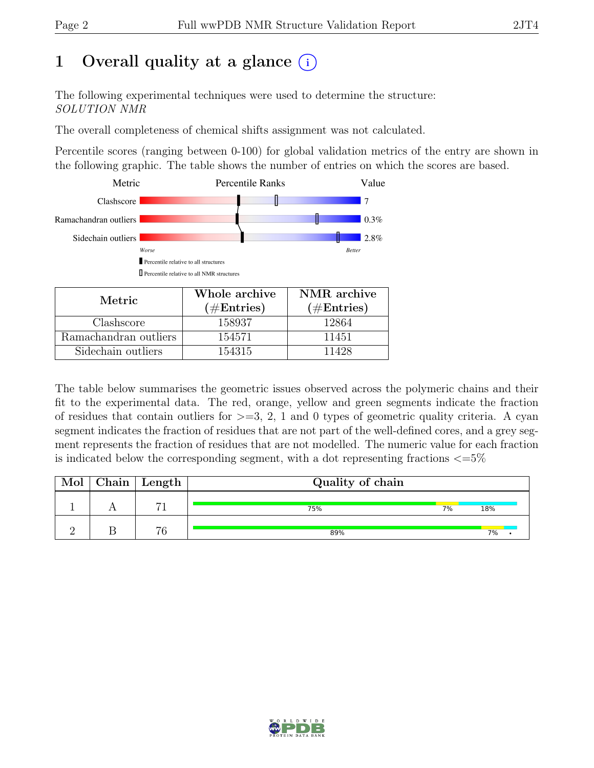# 1 Overall quality at a glance  $(i)$

The following experimental techniques were used to determine the structure: SOLUTION NMR

The overall completeness of chemical shifts assignment was not calculated.

Percentile scores (ranging between 0-100) for global validation metrics of the entry are shown in the following graphic. The table shows the number of entries on which the scores are based.



| Metric.               | Whole archive | NMR archive   |  |  |
|-----------------------|---------------|---------------|--|--|
|                       | $(\#Entries)$ | $(\#Entries)$ |  |  |
| Clashscore            | 158937        | 12864         |  |  |
| Ramachandran outliers | 154571        | 11451         |  |  |
| Sidechain outliers    | 154315        | 11428         |  |  |

The table below summarises the geometric issues observed across the polymeric chains and their fit to the experimental data. The red, orange, yellow and green segments indicate the fraction of residues that contain outliers for  $>=$  3, 2, 1 and 0 types of geometric quality criteria. A cyan segment indicates the fraction of residues that are not part of the well-defined cores, and a grey segment represents the fraction of residues that are not modelled. The numeric value for each fraction is indicated below the corresponding segment, with a dot representing fractions  $\langle=5\%$ 

| Mol | $\alpha$ Chain   Length | Quality of chain |    |     |
|-----|-------------------------|------------------|----|-----|
|     | $-1$                    | 75%              | 7% | 18% |
|     | 76                      | 89%              |    | 7%  |

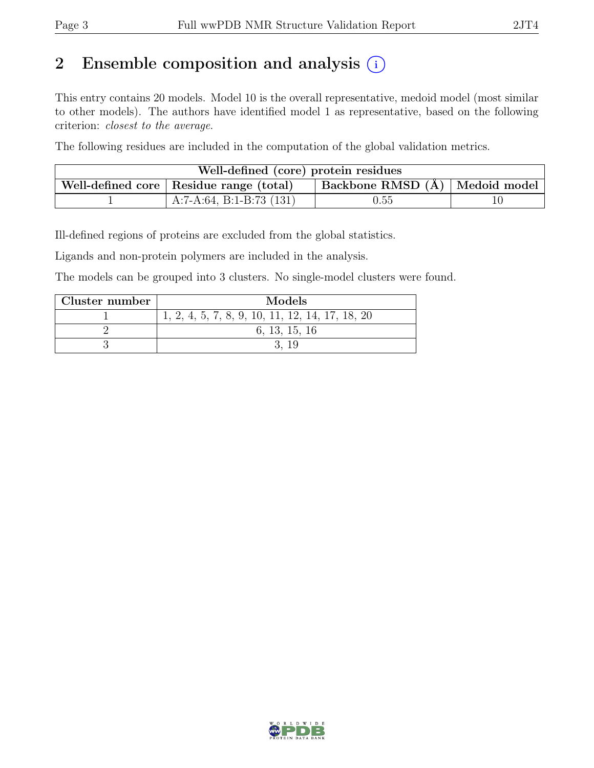# 2 Ensemble composition and analysis  $(i)$

This entry contains 20 models. Model 10 is the overall representative, medoid model (most similar to other models). The authors have identified model 1 as representative, based on the following criterion: closest to the average.

The following residues are included in the computation of the global validation metrics.

| Well-defined (core) protein residues                                                                               |                            |            |  |  |  |  |
|--------------------------------------------------------------------------------------------------------------------|----------------------------|------------|--|--|--|--|
| $\perp$ Backbone RMSD (Å) $\parallel$ Medoid model $\parallel$<br>$\sim$ Well-defined core   Residue range (total) |                            |            |  |  |  |  |
|                                                                                                                    | A:7-A:64, B:1-B:73 $(131)$ | $\rm 0.55$ |  |  |  |  |

Ill-defined regions of proteins are excluded from the global statistics.

Ligands and non-protein polymers are included in the analysis.

The models can be grouped into 3 clusters. No single-model clusters were found.

| Cluster number | Models                                            |
|----------------|---------------------------------------------------|
|                | $1, 2, 4, 5, 7, 8, 9, 10, 11, 12, 14, 17, 18, 20$ |
|                | 6, 13, 15, 16                                     |
|                |                                                   |

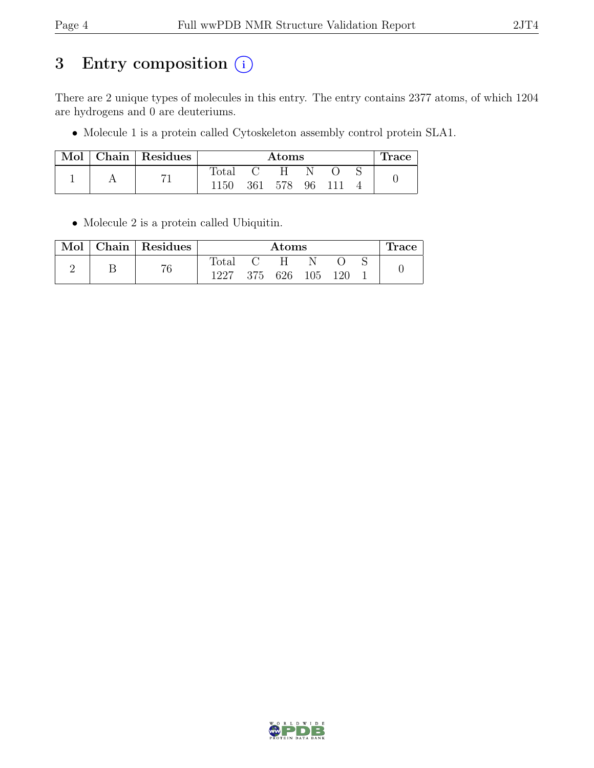# 3 Entry composition  $(i)$

There are 2 unique types of molecules in this entry. The entry contains 2377 atoms, of which 1204 are hydrogens and 0 are deuteriums.

• Molecule 1 is a protein called Cytoskeleton assembly control protein SLA1.

| Mol | Chain   Residues | Atoms        |              |       |    |  | race. |  |
|-----|------------------|--------------|--------------|-------|----|--|-------|--|
|     |                  | <b>Total</b> | $\mathbf{C}$ | - H - |    |  |       |  |
|     |                  | <b>150</b>   | 361          | -578  | 96 |  |       |  |

• Molecule 2 is a protein called Ubiquitin.

| Mol | Chain   Residues | Atoms          |  |                 |  |  |  | race |
|-----|------------------|----------------|--|-----------------|--|--|--|------|
|     | 76               | $_{\rm Total}$ |  | . н.            |  |  |  |      |
|     |                  | 1227           |  | 375 626 105 120 |  |  |  |      |

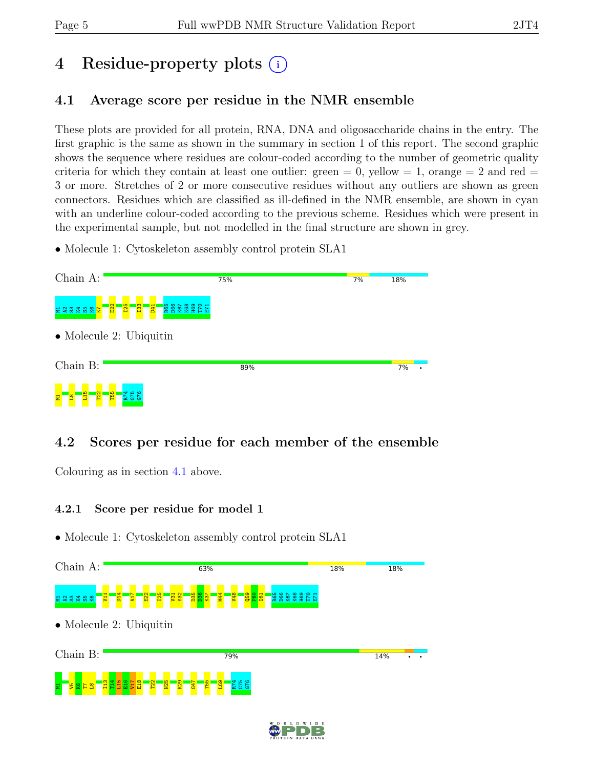# 4 Residue-property plots (i)

# <span id="page-4-0"></span>4.1 Average score per residue in the NMR ensemble

These plots are provided for all protein, RNA, DNA and oligosaccharide chains in the entry. The first graphic is the same as shown in the summary in section 1 of this report. The second graphic shows the sequence where residues are colour-coded according to the number of geometric quality criteria for which they contain at least one outlier:  $green = 0$ ,  $yellow = 1$ ,  $orange = 2$  and  $red =$ 3 or more. Stretches of 2 or more consecutive residues without any outliers are shown as green connectors. Residues which are classified as ill-defined in the NMR ensemble, are shown in cyan with an underline colour-coded according to the previous scheme. Residues which were present in the experimental sample, but not modelled in the final structure are shown in grey.

• Molecule 1: Cytoskeleton assembly control protein SLA1



# 4.2 Scores per residue for each member of the ensemble

Colouring as in section [4.1](#page-4-0) above.

### 4.2.1 Score per residue for model 1



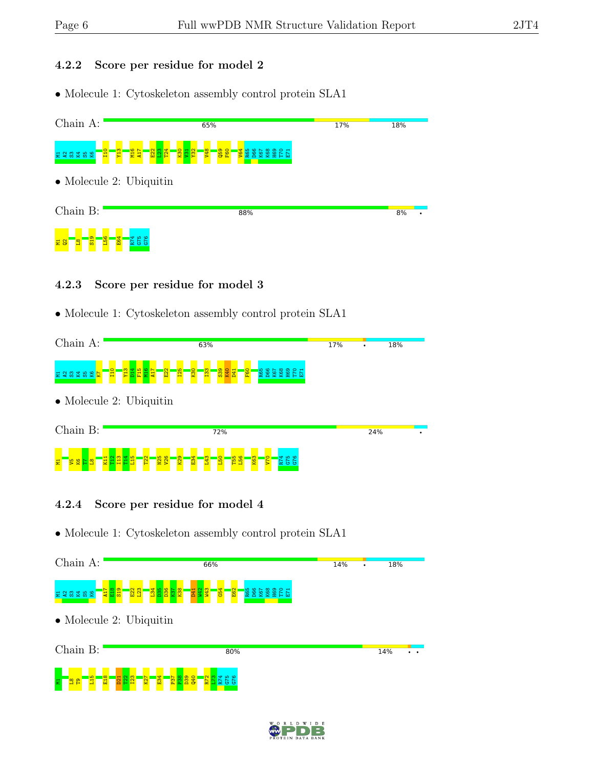#### 4.2.2 Score per residue for model 2

• Molecule 1: Cytoskeleton assembly control protein SLA1



### 4.2.3 Score per residue for model 3

• Molecule 1: Cytoskeleton assembly control protein SLA1



### 4.2.4 Score per residue for model 4



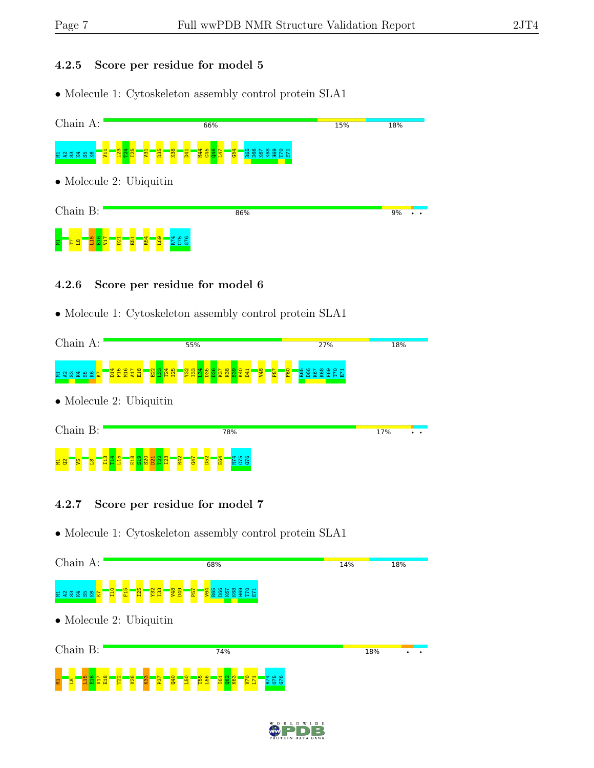#### 4.2.5 Score per residue for model 5

• Molecule 1: Cytoskeleton assembly control protein SLA1



### 4.2.6 Score per residue for model 6

• Molecule 1: Cytoskeleton assembly control protein SLA1



## 4.2.7 Score per residue for model 7



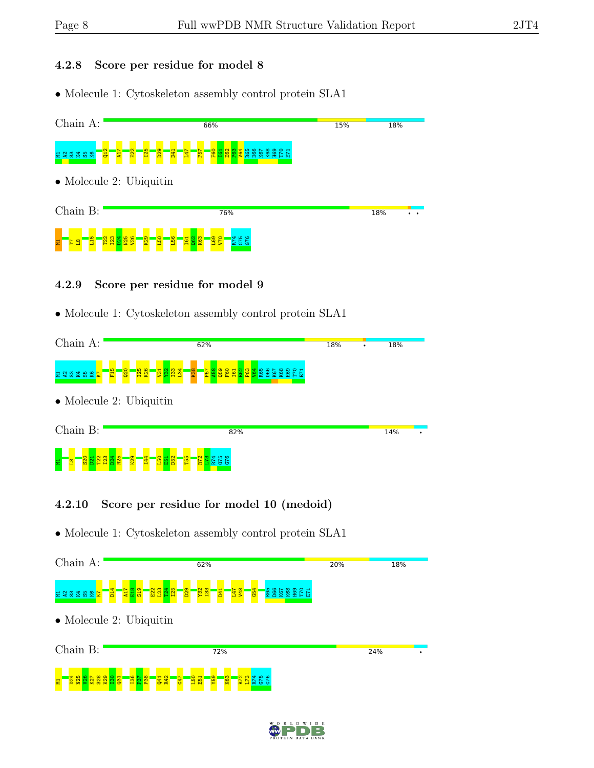#### 4.2.8 Score per residue for model 8

• Molecule 1: Cytoskeleton assembly control protein SLA1



### 4.2.9 Score per residue for model 9

• Molecule 1: Cytoskeleton assembly control protein SLA1



## 4.2.10 Score per residue for model 10 (medoid)



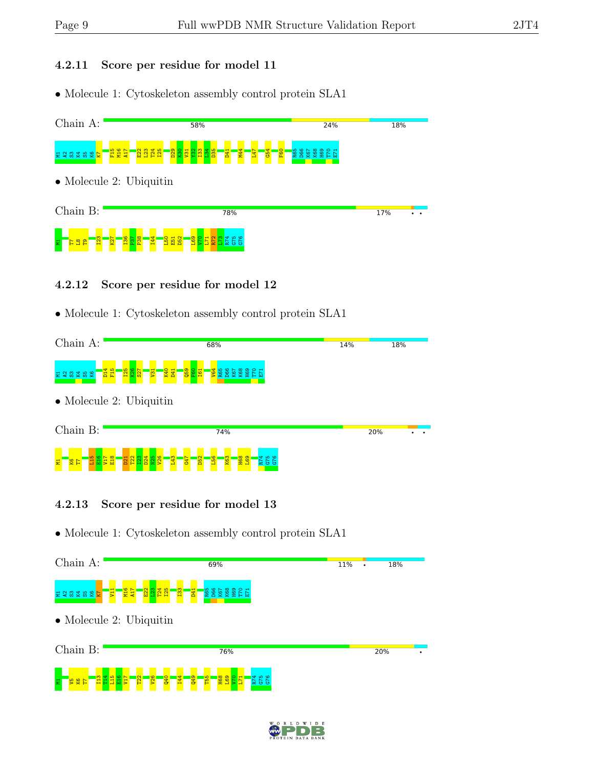#### 4.2.11 Score per residue for model 11

• Molecule 1: Cytoskeleton assembly control protein SLA1



### 4.2.12 Score per residue for model 12

• Molecule 1: Cytoskeleton assembly control protein SLA1



### 4.2.13 Score per residue for model 13



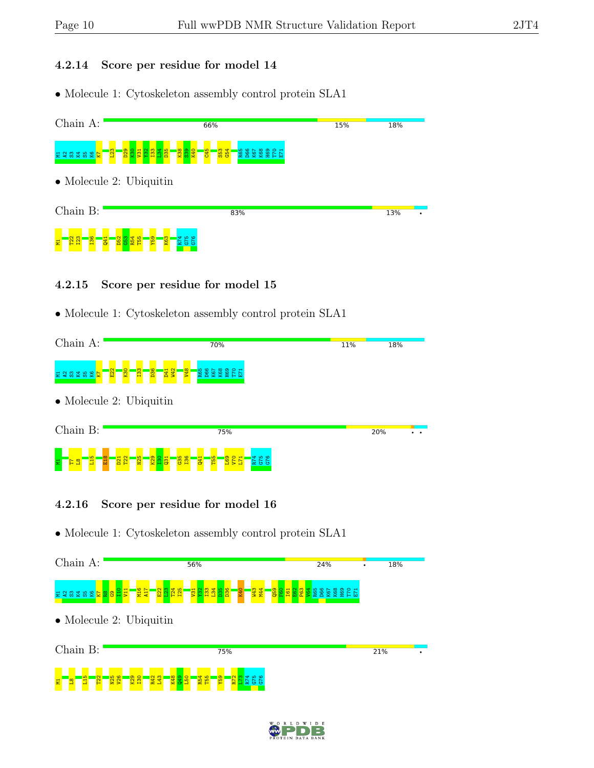### 4.2.14 Score per residue for model 14

• Molecule 1: Cytoskeleton assembly control protein SLA1



### 4.2.15 Score per residue for model 15

• Molecule 1: Cytoskeleton assembly control protein SLA1



## 4.2.16 Score per residue for model 16



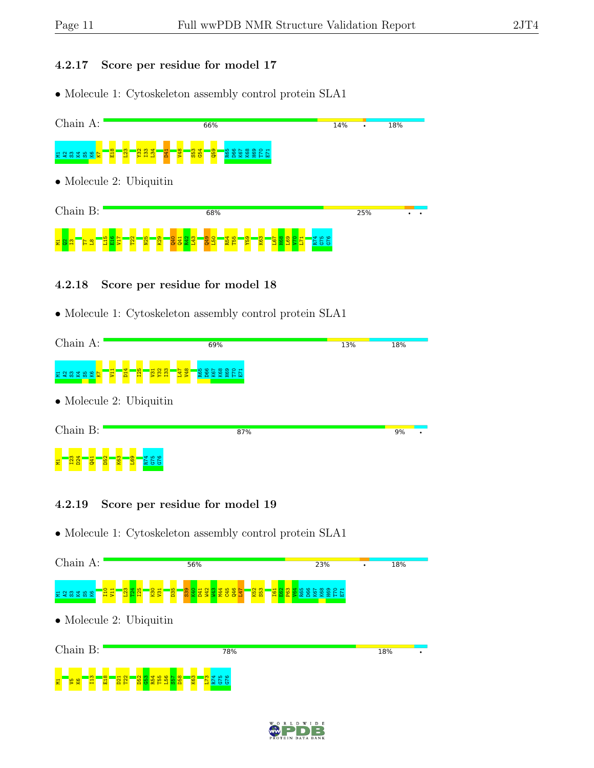### 4.2.17 Score per residue for model 17

• Molecule 1: Cytoskeleton assembly control protein SLA1



### 4.2.18 Score per residue for model 18

• Molecule 1: Cytoskeleton assembly control protein SLA1

| Chain A:                                             | 69%                                                               | 13% | 18% |   |  |  |  |
|------------------------------------------------------|-------------------------------------------------------------------|-----|-----|---|--|--|--|
| <b>E</b> V<br>232525                                 | <b>BRE</b><br>$\overline{D14}$<br><b>125</b><br>85A<br>157<br>88R |     |     |   |  |  |  |
|                                                      | $\bullet$ Molecule 2: Ubiquitin                                   |     |     |   |  |  |  |
| Chain B:                                             | 87%                                                               |     | 9%  | ٠ |  |  |  |
|                                                      |                                                                   |     |     |   |  |  |  |
| D <sub>24</sub><br>$\overline{DB2}$<br>Q41<br>욥<br>픚 | <b>K63</b><br>845<br>845<br>874<br>E69                            |     |     |   |  |  |  |

## 4.2.19 Score per residue for model 19

ELS & L<mark>a</mark>

 $\frac{8}{21}$ D21  $\frac{22}{2}$  $\frac{2}{2}$  $\frac{3}{3}$ R54 T55  $\frac{156}{1}$  $\frac{57}{2}$  $\frac{8}{10}$  $\frac{1}{8}$  $\frac{173}{2}$ R74 G75 G76



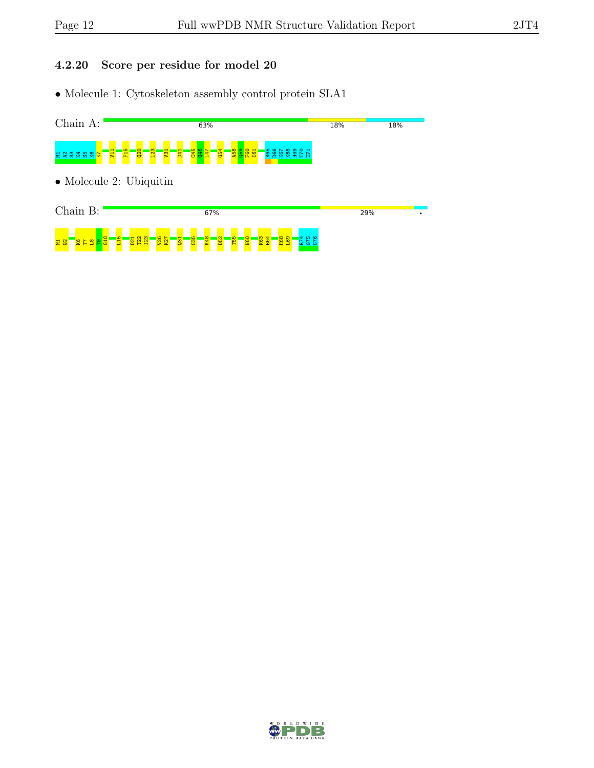## 4.2.20 Score per residue for model 20



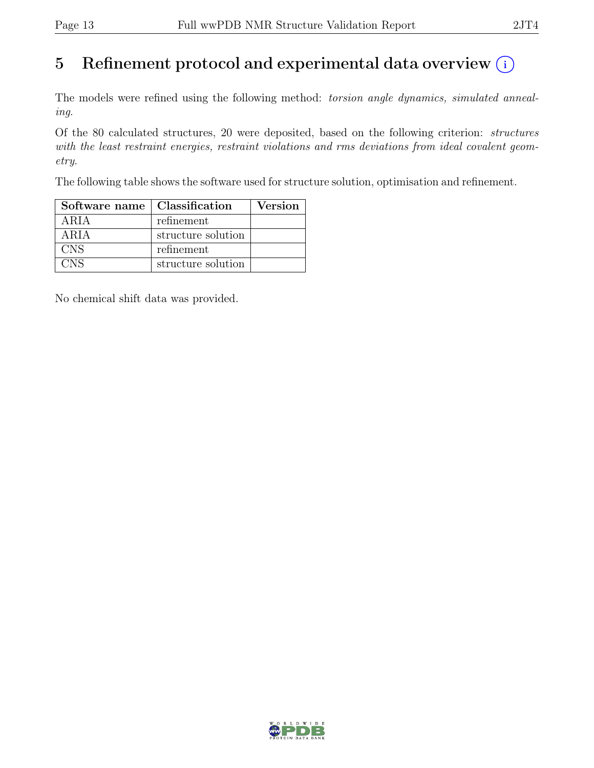# 5 Refinement protocol and experimental data overview  $(i)$

The models were refined using the following method: *torsion angle dynamics, simulated anneal*ing.

Of the 80 calculated structures, 20 were deposited, based on the following criterion: structures with the least restraint energies, restraint violations and rms deviations from ideal covalent geometry.

The following table shows the software used for structure solution, optimisation and refinement.

| Software name   Classification |                    | <b>Version</b> |
|--------------------------------|--------------------|----------------|
| ARIA                           | refinement         |                |
| ARIA                           | structure solution |                |
| <b>CNS</b>                     | refinement         |                |
| <b>CNS</b>                     | structure solution |                |

No chemical shift data was provided.

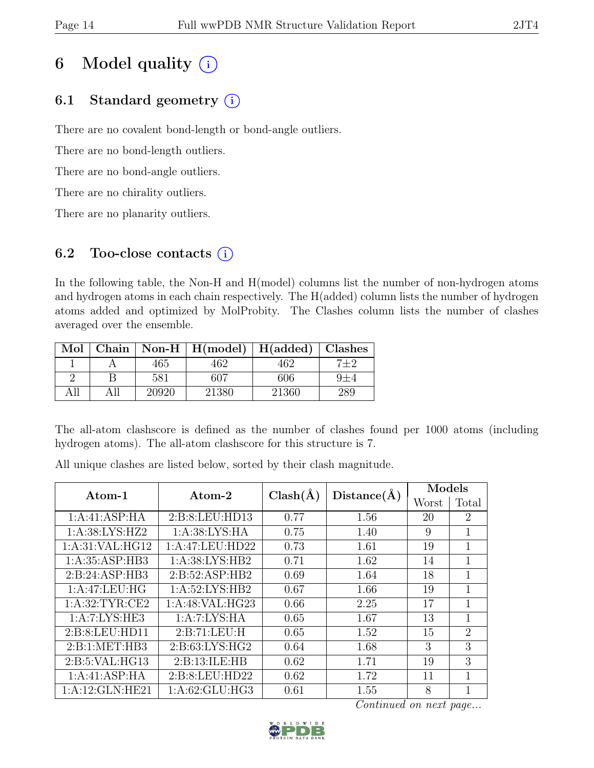# 6 Model quality  $(i)$

# 6.1 Standard geometry  $(i)$

There are no covalent bond-length or bond-angle outliers.

There are no bond-length outliers.

There are no bond-angle outliers.

There are no chirality outliers.

There are no planarity outliers.

# 6.2 Too-close contacts  $(i)$

In the following table, the Non-H and H(model) columns list the number of non-hydrogen atoms and hydrogen atoms in each chain respectively. The H(added) column lists the number of hydrogen atoms added and optimized by MolProbity. The Clashes column lists the number of clashes averaged over the ensemble.

| Mol |       | Chain   Non-H   $H(model)$   $H(added)$   Clashes |       |         |
|-----|-------|---------------------------------------------------|-------|---------|
|     | 465   | 462                                               | 462   | $7 + 2$ |
|     | 581   | 607                                               | 606   | $9+4$   |
|     | 20920 | 21380                                             | 21360 | 289     |

The all-atom clashscore is defined as the number of clashes found per 1000 atoms (including hydrogen atoms). The all-atom clashscore for this structure is 7.

Atom-1  $\left|\right.$  Atom-2  $\left|\right.$  Clash(Å)  $\left|\right.$  Distance(Å)  $\left|\right.$  Models  $_{\rm{Worst \; | \; Total}}$ Worst 1:A:41:ASP:HA 2:B:8:LEU:HD13 0.77 1.56 20 2 1:A:38:LYS:HZ2 1:A:38:LYS:HA 0.75 1.40 9 1 1:A:31:VAL:HG12 | 1:A:47:LEU:HD22 | 0.73 | 1.61 | 19 | 1 1:A:35:ASP:HB3 1:A:38:LYS:HB2 0.71 1.62 14 1  $2:\text{B}:24:\text{ASP}:\text{HB3} \quad | \quad 2:\text{B}:52:\text{ASP}:\text{HB2} \quad | \quad 0.69 \quad | \quad 1.64 \quad | \quad 18 \quad | \quad 1$ 1:A:47:LEU:HG 1:A:52:LYS:HB2 0.67 1.66 19 1  $1:\text{A}:32:\text{TYR}:CE2 \quad 1:\text{A}:48:\text{VAL}:HG23 \quad 0.66 \quad 2.25 \quad 1.7 \quad 1.7 \quad 1.7$ 1:A:7:LYS:HE3 1:A:7:LYS:HA 0.65 1.67 13 1 2:B:8:LEU:HD11 | 2:B:71:LEU:H | 0.65 | 1.52 | 15 | 2 2:B:1:MET:HB3 2:B:63:LYS:HG2 0.64 1.68 3 2:B:5:VAL:HG13 2:B:13:ILE:HB 0.62 1.71 19 3 1:A:41:ASP:HA 2:B:8:LEU:HD22 0.62 1.72 11 1 1:A:12:GLN:HE21 | 1:A:62:GLU:HG3 | 0.61 | 1.55 | 8 | 1

All unique clashes are listed below, sorted by their clash magnitude.

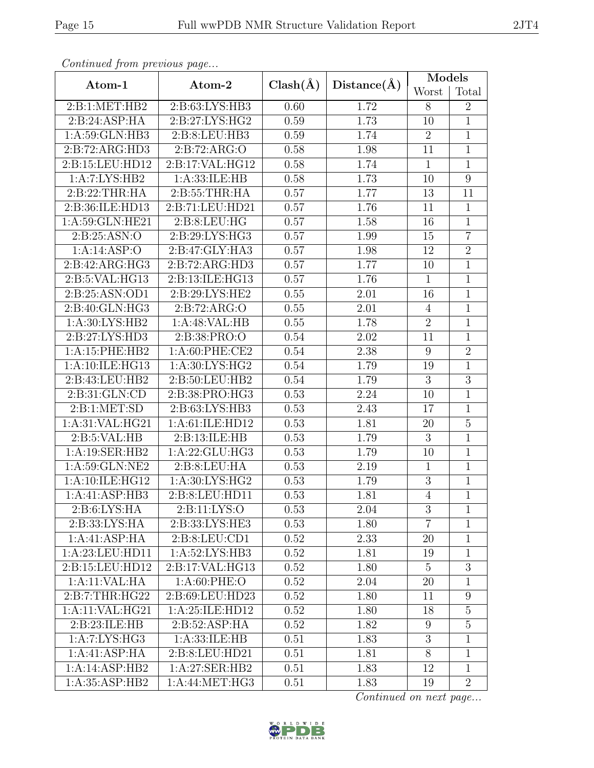|                    |                    |              |             | Models         |                |
|--------------------|--------------------|--------------|-------------|----------------|----------------|
| Atom-1             | Atom-2             | $Clash(\AA)$ | Distance(A) | Worst          | Total          |
| 2:B:1:MET:HB2      | 2:B:63:LYS:HB3     | 0.60         | 1.72        | 8              | $\overline{2}$ |
| 2:B:24:ASP:HA      | 2:B:27:LYS:HG2     | 0.59         | 1.73        | 10             | $\overline{1}$ |
| 1: A:59: GLN:HB3   | 2:B:8:LEU:HB3      | 0.59         | 1.74        | $\overline{2}$ | $\mathbf{1}$   |
| 2:B:72:ARG:HD3     | 2:B:72:ARG:O       | 0.58         | 1.98        | 11             | $\mathbf{1}$   |
| 2:B:15:LEU:HD12    | 2: B:17: VAL: HG12 | 0.58         | 1.74        | $\mathbf{1}$   | $\mathbf{1}$   |
| 1:A:7:LYS:HB2      | 1:A:33:ILE:HB      | 0.58         | 1.73        | 10             | $\overline{9}$ |
| 2:B:22:THR:HA      | 2:B:55:THR:HA      | 0.57         | 1.77        | 13             | 11             |
| 2:B:36:ILE:HD13    | 2:B:71:LEU:HD21    | 0.57         | 1.76        | 11             | $\mathbf{1}$   |
| 1:A:59:GLN:HE21    | 2: B: 8: LEU: HG   | 0.57         | 1.58        | 16             | $\overline{1}$ |
| 2: B:25: ASN:O     | 2:B:29:LYS:HG3     | 0.57         | 1.99        | 15             | $\overline{7}$ |
| 1:A:14:ASP:O       | 2:B:47:GLY:HA3     | 0.57         | 1.98        | 12             | $\overline{2}$ |
| 2:B:42:ARG:HG3     | 2:B:72:ARG:HD3     | 0.57         | 1.77        | 10             | $\overline{1}$ |
| 2:B:5:VAL:HG13     | 2:B:13:ILE:HG13    | 0.57         | 1.76        | $\mathbf{1}$   | $\mathbf{1}$   |
| 2: B:25: ASN:OD1   | 2: B:29: LYS: HE2  | 0.55         | 2.01        | 16             | $\mathbf{1}$   |
| 2:B:40:GLN:HG3     | 2: B: 72: ARG: O   | 0.55         | 2.01        | $\overline{4}$ | $\mathbf{1}$   |
| 1: A:30: LYS: HB2  | 1:A:48:VAL:HB      | 0.55         | 1.78        | $\overline{2}$ | $\overline{1}$ |
| 2: B: 27: LYS: HD3 | 2:B:38:PRO:O       | 0.54         | 2.02        | 11             | $\mathbf{1}$   |
| 1:A:15:PHE:HB2     | $1: A:60:$ PHE:CE2 | 0.54         | 2.38        | $9\phantom{.}$ | $\overline{2}$ |
| 1:A:10:ILE:HG13    | 1: A:30: LYS: HG2  | 0.54         | 1.79        | 19             | $\mathbf{1}$   |
| 2:B:43:LEU:HB2     | 2:B:50:LEU:HB2     | 0.54         | 1.79        | 3              | $\overline{3}$ |
| 2:B:31:GLN:CD      | 2:B:38:PRO:HG3     | 0.53         | 2.24        | 10             | $\overline{1}$ |
| 2: B: 1: MET: SD   | 2:B:63:LYS:HB3     | 0.53         | 2.43        | 17             | $\mathbf{1}$   |
| 1:A:31:VAL:HG21    | 1:A:61:ILE:HD12    | 0.53         | 1.81        | 20             | $\overline{5}$ |
| 2: B: 5: VAL: HB   | 2:B:13:ILE:HB      | 0.53         | 1.79        | 3              | $\mathbf{1}$   |
| 1:A:19:SER:HB2     | 1: A:22: GLU:HG3   | 0.53         | 1.79        | 10             | $\mathbf{1}$   |
| 1:A:59:GLN:NE2     | 2:B:8:LEU:HA       | 0.53         | 2.19        | $\mathbf{1}$   | $\overline{1}$ |
| 1:A:10:ILE:HG12    | 1:A:30:LYS:HG2     | 0.53         | 1.79        | $\sqrt{3}$     | $\mathbf{1}$   |
| 1:A:41:ASP:HB3     | 2:B:8:LEU:HD11     | 0.53         | 1.81        | $\overline{4}$ | $\overline{1}$ |
| 2: B:6: LYS: HA    | 2:Bi:11:LYS:O      | 0.53         | 2.04        | 3              | $\mathbf 1$    |
| 2:B:33:LYS:HA      | 2:B:33:LYS:HE3     | 0.53         | 1.80        | $\overline{7}$ | $\mathbf{1}$   |
| 1:A:41:ASP:HA      | 2: B: 8: LEU: CD1  | 0.52         | 2.33        | 20             | $\mathbf{1}$   |
| 1:A:23:LEU:HD11    | 1:A:52:LYS:HB3     | 0.52         | 1.81        | 19             | $\mathbf{1}$   |
| 2:B:15:LEU:HD12    | 2:B:17:VAL:HG13    | 0.52         | 1.80        | $\overline{5}$ | $\overline{3}$ |
| 1:A:11:VAL:HA      | 1: A:60: PHE:O     | 0.52         | 2.04        | 20             | $\mathbf{1}$   |
| 2: B: 7: THR: HG22 | 2:B:69:LEU:HD23    | 0.52         | 1.80        | 11             | 9              |
| 1:A:11:VAL:HG21    | 1:A:25:ILE:HD12    | 0.52         | 1.80        | 18             | $\overline{5}$ |
| 2:B:23:ILE:HB      | 2: B:52: ASP: HA   | 0.52         | 1.82        | 9              | $\overline{5}$ |
| 1: A: 7: LYS: HG3  | 1: A: 33: ILE: HB  | 0.51         | 1.83        | 3              | $\mathbf 1$    |
| 1:A:41:ASP:HA      | 2:B:8:LEU:HD21     | 0.51         | 1.81        | 8              | $\mathbf{1}$   |
| 1:A:14:ASP:HB2     | 1:A:27:SER:HB2     | 0.51         | 1.83        | 12             | $\mathbf{1}$   |
| 1: A:35:ASP:HB2    | 1: A:44: MET:HG3   | 0.51         | 1.83        | 19             | $\overline{2}$ |

Continued from previous page.

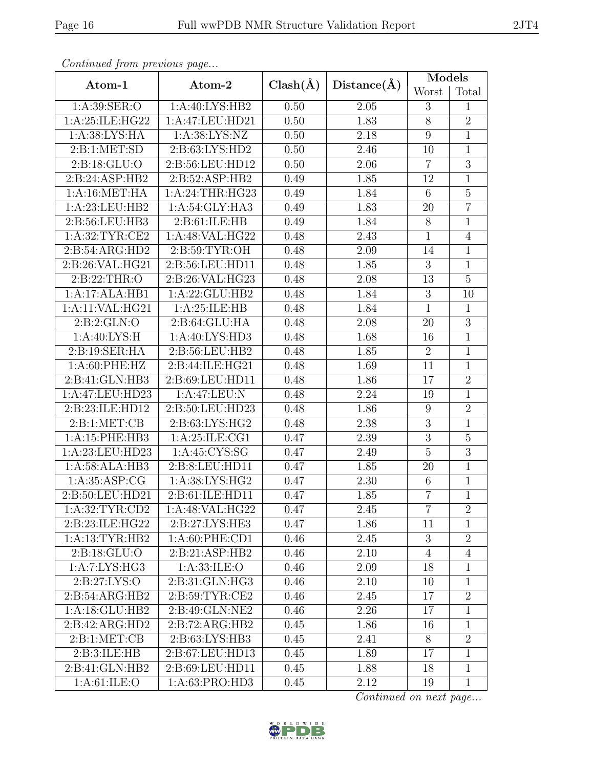| $P$ . The state of $P$ is the set of $\omega$ of $P$ and $P$ . The set of $P$ |                    |              |             | Models          |                |  |
|-------------------------------------------------------------------------------|--------------------|--------------|-------------|-----------------|----------------|--|
| Atom-1                                                                        | Atom-2             | $Clash(\AA)$ | Distance(A) | Worst           | Total          |  |
| 1: A:39: SER:O                                                                | 1:A:40:LYS:HB2     | 0.50         | 2.05        | 3               | $\mathbf{1}$   |  |
| 1:A:25:ILE:HG22                                                               | 1:A:47:LEU:HD21    | 0.50         | 1.83        | 8               | $\overline{2}$ |  |
| 1: A:38: LYS: HA                                                              | 1: A:38: LYS: NZ   | 0.50         | 2.18        | $9\phantom{.0}$ | $\mathbf{1}$   |  |
| 2:B:1:MET:SD                                                                  | 2:B:63:LYS:HD2     | 0.50         | 2.46        | $10\,$          | $\overline{1}$ |  |
| 2: B: 18: GLU: O                                                              | 2:B:56:LEU:HD12    | 0.50         | 2.06        | $\overline{7}$  | $\overline{3}$ |  |
| 2:B:24:ASP:HB2                                                                | 2:B:52:ASP:HB2     | 0.49         | 1.85        | 12              | $\mathbf{1}$   |  |
| 1:A:16:MET:HA                                                                 | 1: A:24:THR:HG23   | 0.49         | 1.84        | $6\phantom{.}$  | $\overline{5}$ |  |
| 1:A:23:LEU:HB2                                                                | 1:A:54:GLY:HA3     | 0.49         | 1.83        | 20              | $\overline{7}$ |  |
| 2:B:56:LEU:HB3                                                                | 2:B:61:ILE:HB      | 0.49         | 1.84        | 8               | $\overline{1}$ |  |
| 1: A:32: TYR: CE2                                                             | 1:A:48:VAL:HG22    | 0.48         | 2.43        | $\mathbf{1}$    | $\overline{4}$ |  |
| 2:B:54:ARG:HD2                                                                | 2:B:59:TYR:OH      | 0.48         | 2.09        | 14              | $\mathbf{1}$   |  |
| 2:B:26:VAL:HG21                                                               | 2:B:56:LEU:HD11    | 0.48         | 1.85        | 3               | $\mathbf{1}$   |  |
| 2: B:22:THR:O                                                                 | 2:B:26:VAL:HG23    | 0.48         | 2.08        | 13              | $\overline{5}$ |  |
| 1:A:17:ALA:HB1                                                                | 1:A:22:GLU:HB2     | 0.48         | 1.84        | 3               | 10             |  |
| 1:A:11:VAL:HG21                                                               | 1: A:25: ILE: HB   | 0.48         | 1.84        | $\mathbf{1}$    | $\mathbf{1}$   |  |
| 2: B:2: GLN:O                                                                 | 2:B:64:GLU:HA      | 0.48         | 2.08        | 20              | $\overline{3}$ |  |
| 1: A:40: LYS:H                                                                | 1:A:40:LYS:HD3     | 0.48         | 1.68        | 16              | $\mathbf{1}$   |  |
| 2:B:19:SER:HA                                                                 | 2: B:56: LEU: HB2  | 0.48         | 1.85        | $\overline{2}$  | $\overline{1}$ |  |
| 1: A:60: PHE:HZ                                                               | 2:B:44:ILE:HG21    | 0.48         | 1.69        | 11              | $\overline{1}$ |  |
| 2:B:41:GLN:HB3                                                                | 2:B:69:LEU:HD11    | 0.48         | 1.86        | 17              | $\overline{2}$ |  |
| 1:A:47:LEU:HD23                                                               | 1:A:47:LEU:N       | 0.48         | 2.24        | 19              | $\mathbf{1}$   |  |
| 2:B:23:ILE:HD12                                                               | 2:B:50:LEU:HD23    | 0.48         | 1.86        | $9\phantom{.0}$ | $\overline{2}$ |  |
| 2:Bi:MET:CB                                                                   | 2:B:63:LYS:HG2     | 0.48         | 2.38        | $\overline{3}$  | 1              |  |
| 1:A:15:PHE:HB3                                                                | 1: A:25: ILE:CG1   | 0.47         | 2.39        | 3               | $\overline{5}$ |  |
| 1:A:23:LEU:HD23                                                               | 1:A:45:CYS:SG      | 0.47         | 2.49        | $\bf 5$         | $\overline{3}$ |  |
| 1:A:58:ALA:HB3                                                                | 2:B:8:LEU:HD11     | 0.47         | 1.85        | 20              | $\overline{1}$ |  |
| 1: A: 35: ASP: CG                                                             | 1: A:38: LYS: HG2  | 0.47         | 2.30        | $6\phantom{.}6$ | $\mathbf{1}$   |  |
| 2:B:50:LEU:HD21                                                               | 2:B:61:ILE:HD11    | 0.47         | 1.85        | $\overline{7}$  | $\overline{1}$ |  |
| 1: A:32:TYR:CD2                                                               | 1: A:48: VAL: HG22 | 0.47         | 2.45        | $\overline{7}$  | $\overline{2}$ |  |
| 2:B:23:ILE:HG22                                                               | 2:B:27:LYS:HE3     | 0.47         | 1.86        | 11              | $\mathbf{1}$   |  |
| 1: A: 13: TYR: HB2                                                            | 1: A:60: PHE:CD1   | 0.46         | 2.45        | 3               | $\overline{2}$ |  |
| 2: B: 18: GLU: O                                                              | 2:B:21:ASP:HB2     | 0.46         | 2.10        | $\overline{4}$  | $\overline{4}$ |  |
| $1:A:7:LYS:\overline{HG3}$                                                    | 1: A: 33: ILE: O   | 0.46         | 2.09        | 18              | $\mathbf{1}$   |  |
| 2: B:27: LYS:O                                                                | 2:B:31:GLN:HG3     | 0.46         | 2.10        | 10              | $\mathbf 1$    |  |
| 2:B:54:ARG:HB2                                                                | 2: B:59: TYR: CE2  | 0.46         | 2.45        | 17              | $\overline{2}$ |  |
| 1:A:18:GLU:HB2                                                                | 2:B:49:GLN:NE2     | 0.46         | 2.26        | 17              | $\mathbf{1}$   |  |
| 2:B:42:ARG:HD2                                                                | 2:B:72:ARG:HB2     | 0.45         | 1.86        | 16              | $\mathbf{1}$   |  |
| 2: B: 1: MET: CB                                                              | 2:B:63:LYS:HB3     | 0.45         | 2.41        | 8               | $\overline{2}$ |  |
| 2:B:3:ILE: HB                                                                 | 2:B:67:LEU:HD13    | 0.45         | 1.89        | 17              | $\mathbf{1}$   |  |
| 2:B:41:GLN:HB2                                                                | 2:B:69:LEU:HD11    | 0.45         | 1.88        | 18              | $\mathbf{1}$   |  |
| 1: A:61: ILE: O                                                               | 1: A:63: PRO:HD3   | 0.45         | 2.12        | 19              | $\mathbf{1}$   |  |

Continued from previous page.

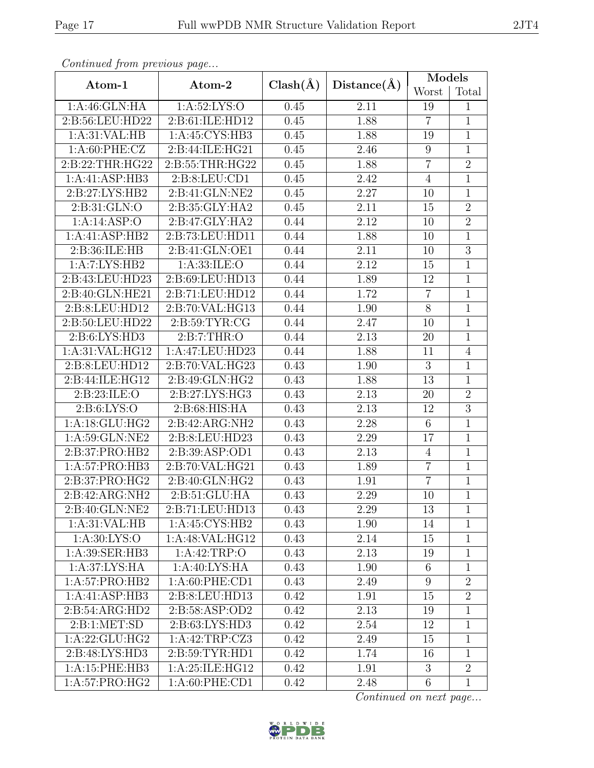| Contentaca from precious page |                    |              |             | Models          |                |  |
|-------------------------------|--------------------|--------------|-------------|-----------------|----------------|--|
| Atom-1                        | Atom-2             | $Clash(\AA)$ | Distance(A) | Worst           | Total          |  |
| 1: A:46: GLN: HA              | 1: A:52: LYS:O     | 0.45         | 2.11        | 19              | $\mathbf{1}$   |  |
| 2:B:56:LEU:HD22               | 2:B:61:ILE:HD12    |              | 1.88        | $\overline{7}$  | $\mathbf{1}$   |  |
| 1: A:31: VAL: HB              | 1:A:45:CYS:HB3     | 0.45         | 1.88        | 19              | $\mathbf{1}$   |  |
| 1: A:60: PHE: CZ              | 2:B:44:ILE:HG21    | 0.45         | 2.46        | 9               | $\overline{1}$ |  |
| 2:B:22:THR:HG22               | 2: B:55:THR:HG22   | 0.45         | 1.88        | $\overline{7}$  | $\overline{2}$ |  |
| 1:A:41:ASP:HB3                | 2: B: 8: LEU: CD1  | 0.45         | 2.42        | $\overline{4}$  | $\mathbf{1}$   |  |
| 2:B:27:LYS:HB2                | 2:B:41:GLN:NE2     | 0.45         | 2.27        | 10              | $\mathbf{1}$   |  |
| 2:B:31:GLN:O                  | 2:B:35:GLY:HA2     | 0.45         | 2.11        | 15              | $\overline{2}$ |  |
| 1:A:14:ASP:O                  | 2:B:47:GLY:HA2     | 0.44         | 2.12        | 10              | $\overline{2}$ |  |
| 1:A:41:ASP:HB2                | 2:B:73:LEU:HD11    | 0.44         | 1.88        | 10              | $\mathbf{1}$   |  |
| 2:B:36:ILE:HB                 | 2:B:41:GLN:OE1     | 0.44         | 2.11        | 10              | $\overline{3}$ |  |
| 1:A:7:LYS:HB2                 | 1: A: 33: ILE: O   | 0.44         | 2.12        | 15              | $\mathbf{1}$   |  |
| 2:B:43:LEU:HD23               | 2:B:69:LEU:HD13    | 0.44         | 1.89        | 12              | $\mathbf{1}$   |  |
| 2:B:40:GLN:HE21               | 2:B:71:LEU:HD12    | 0.44         | 1.72        | $\overline{7}$  | $\overline{1}$ |  |
| 2:B:8:LEU:HD12                | 2:B:70:VAL:HG13    | 0.44         | 1.90        | 8               | $\mathbf{1}$   |  |
| 2:B:50:LEU:HD22               | 2: B:59: TYR: CG   | 0.44         | 2.47        | 10              | $\overline{1}$ |  |
| 2: B:6: LYS: HD3              | 2: B: 7: THR: O    | 0.44         | 2.13        | 20              | $\mathbf{1}$   |  |
| 1:A:31:VAL:HG12               | 1:A:47:LEU:HD23    | 0.44         | 1.88        | 11              | $\overline{4}$ |  |
| 2:B:8:LEU:HD12                | 2:B:70:VAL:HG23    | 0.43         | 1.90        | 3               | $\mathbf{1}$   |  |
| 2:B:44:ILE:HG12               | 2:B:49:GLN:HG2     | 0.43         | 1.88        | 13              | $\mathbf{1}$   |  |
| 2:B:23:ILE:O                  | 2:B:27:LYS:HG3     | 0.43         | 2.13        | 20              | $\overline{2}$ |  |
| 2: B:6: LYS:O                 | 2:B:68:HIS:HA      | 0.43         | 2.13        | 12              | $\overline{3}$ |  |
| 1:A:18:GLU:HG2                | 2:B:42:ARG:NH2     | 0.43         | 2.28        | $6\phantom{.}$  | $\overline{1}$ |  |
| 1:A:59:GLN:NE2                | 2:B:8:LEU:HD23     | 0.43         | 2.29        | 17              | $\overline{1}$ |  |
| 2:B:37:PRO:HB2                | 2:B:39:ASP:OD1     | 0.43         | 2.13        | $\overline{4}$  | $\mathbf{1}$   |  |
| 1:A:57:PRO:HB3                | 2:B:70:VAL:HG21    | 0.43         | 1.89        | $\overline{7}$  | $\mathbf{1}$   |  |
| 2:B:37:PRO:HG2                | 2:B:40:GLN:HG2     | 0.43         | 1.91        | $\overline{7}$  | $\mathbf{1}$   |  |
| 2:B:42:ARG:NH2                | 2:B:51:GLU:HA      | 0.43         | 2.29        | 10              | $\overline{1}$ |  |
| 2:B:40:GLN:NE2                | 2:B:71:LEU:HD13    | 0.43         | 2.29        | 13              | $\mathbf 1$    |  |
| 1:A:31:VAL:HB                 | 1:A:45:CYS:HB2     | 0.43         | 1.90        | 14              | $\mathbf{1}$   |  |
| 1: A:30: LYS:O                | 1:A:48:VAL:HG12    | 0.43         | 2.14        | 15              | $\mathbf{1}$   |  |
| 1:A:39:SER:HB3                | 1:A:42:TRP:O       | 0.43         | 2.13        | 19              | $\mathbf{1}$   |  |
| 1: A:37: LYS: HA              | 1:A:40:LYS:HA      | 0.43         | 1.90        | 6               | 1              |  |
| 1:A:57:PRO:HB2                | 1:A:60:PHE:CD1     | 0.43         | 2.49        | 9               | $\overline{2}$ |  |
| 1:A:41:ASP:HB3                | 2:B:8:LEU:HD13     | 0.42         | 1.91        | 15              | $\overline{2}$ |  |
| 2: B:54: ARG:HD2              | 2:B:58:ASP:OD2     | 0.42         | 2.13        | 19              | $\mathbf{1}$   |  |
| 2: B: 1: MET: SD              | 2:B:63:LYS:HD3     | 0.42         | 2.54        | 12              | $\mathbf{1}$   |  |
| 1:A:22:GLU:HG2                | 1: A:42:TRP: CZ3   | 0.42         | 2.49        | 15              | $\mathbf{1}$   |  |
| 2:B:48:LYS:HD3                | 2: B:59: TYR: HD1  | 0.42         | 1.74        | 16              | $\mathbf{1}$   |  |
| 1:A:15:PHE:HB3                | 1: A:25: ILE: HG12 | 0.42         | 1.91        | 3               | $\overline{2}$ |  |
| 1:A:57:PRO:HG2                | 1:A:60:PHE:CD1     | 0.42         | 2.48        | $6\phantom{.}6$ | $\mathbf{1}$   |  |

Continued from previous page.

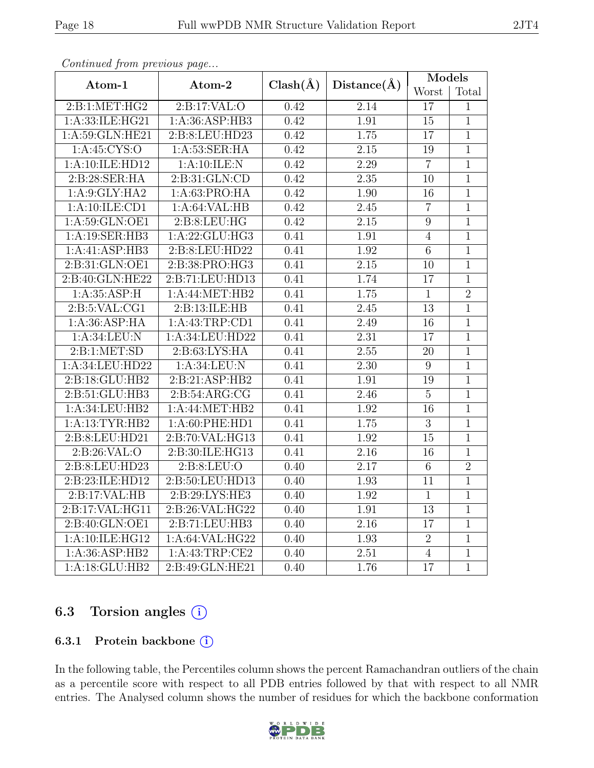|                    |                  |              |                   | <b>Models</b>   |                |
|--------------------|------------------|--------------|-------------------|-----------------|----------------|
| Atom-1             | Atom-2           | $Clash(\AA)$ | Distance(A)       | Worst           | Total          |
| 2:B:1:MET:HG2      | 2:B:17:VAL:O     | 0.42         | 2.14              | 17              | $\mathbf{1}$   |
| 1:A:33:ILE:HG21    | 1: A:36: ASP:HB3 | 0.42         | 1.91              | 15              | $\overline{1}$ |
| 1: A:59: GLN: HE21 | 2:B:8:LEU:HD23   | 0.42         | 1.75              | $\overline{17}$ | $\overline{1}$ |
| 1: A:45: CYS:O     | 1: A:53: SER: HA | 0.42         | 2.15              | 19              | $\overline{1}$ |
| 1:A:10:ILE:HD12    | 1:A:10:ILE:N     | 0.42         | 2.29              | $\overline{7}$  | $\overline{1}$ |
| 2:B:28:SER:HA      | 2: B:31: GLN:CD  | 0.42         | $\overline{2.35}$ | $10\,$          | $\overline{1}$ |
| 1: A:9: GLY: HA2   | 1:A:63:PRO:HA    | 0.42         | 1.90              | 16              | $\overline{1}$ |
| 1:A:10:ILE:CD1     | 1:A:64:VAL:HB    | 0.42         | 2.45              | $\overline{7}$  | $\overline{1}$ |
| 1: A:59: GLN:OE1   | 2: B:8: LEU: HG  | 0.42         | 2.15              | $\overline{9}$  | $\overline{1}$ |
| 1:A:19:SER:HB3     | 1: A:22: GLU:HG3 | 0.41         | 1.91              | $\overline{4}$  | $\overline{1}$ |
| 1:A:41:ASP:HB3     | 2:B:8:LEU:HD22   | 0.41         | 1.92              | $\overline{6}$  | $\overline{1}$ |
| 2: B:31: GLN:OE1   | 2:B:38:PRO:HG3   | 0.41         | $\overline{2.15}$ | 10              | $\overline{1}$ |
| 2:B:40:GLN:HE22    | 2:B:71:LEU:HD13  | 0.41         | 1.74              | 17              | $\mathbf{1}$   |
| 1:A:35:ASP:H       | 1:A:44:MET:HB2   | 0.41         | 1.75              | $\mathbf{1}$    | $\overline{2}$ |
| 2: B:5: VAL:CG1    | 2:B:13:ILE:HB    | 0.41         | 2.45              | 13              | $\mathbf{1}$   |
| 1:A:36:ASP:HA      | 1:A:43:TRP:CD1   | 0.41         | 2.49              | 16              | $\mathbf{1}$   |
| 1:A:34:LEU:N       | 1:A:34:LEU:HD22  | 0.41         | 2.31              | $17\,$          | $\mathbf{1}$   |
| 2:B:1:MET:SD       | 2: B:63: LYS: HA | 0.41         | 2.55              | 20              | $\overline{1}$ |
| 1:A:34:LEU:HD22    | 1: A:34:LEU: N   | 0.41         | 2.30              | $9\phantom{.}$  | $\overline{1}$ |
| 2:B:18:GLU:HB2     | 2:B:21:ASP:HB2   | 0.41         | 1.91              | 19              | $\overline{1}$ |
| 2:B:51:GLU:HB3     | 2: B:54: ARG: CG | 0.41         | 2.46              | $\overline{5}$  | $\overline{1}$ |
| 1:A:34:LEU:HB2     | 1:A:44:MET:HB2   | 0.41         | 1.92              | 16              | $\mathbf{1}$   |
| 1:A:13:TYR:HB2     | 1:A:60:PHE:HD1   | 0.41         | 1.75              | $\overline{3}$  | $\mathbf{1}$   |
| 2:B:8:LEU:HD21     | 2:B:70:VAL:HG13  | 0.41         | 1.92              | 15              | $\overline{1}$ |
| 2:Bi:26:VAL:O      | 2:B:30:ILE:HG13  | 0.41         | 2.16              | 16              | $\mathbf{1}$   |
| 2:B:8:LEU:HD23     | 2:B:8:LEU:O      | 0.40         | 2.17              | $\overline{6}$  | $\overline{2}$ |
| 2:B:23:ILE:HD12    | 2:B:50:LEU:HD13  | 0.40         | 1.93              | 11              | $\mathbf{1}$   |
| 2:B:17:VAL:HB      | 2:B:29:LYS:HE3   | 0.40         | 1.92              | $\mathbf{1}$    | $\overline{1}$ |
| 2:B:17:VAL:HG11    | 2:B:26:VAL:HG22  | 0.40         | 1.91              | 13              | $\mathbf 1$    |
| 2:B:40:GLN:OE1     | 2:B:71:LEU:HB3   | 0.40         | $\overline{2.16}$ | 17              | $\mathbf{1}$   |
| 1:A:10:ILE:HG12    | 1:A:64:VAL:HG22  | 0.40         | 1.93              | $\overline{2}$  | $\mathbf{1}$   |
| 1:A:36:ASP:HB2     | 1:A:43:TRP:CE2   | 0.40         | 2.51              | $\overline{4}$  | $\mathbf{1}$   |
| 1:A:18:GLU:HB2     | 2:B:49:GLN:HE21  | 0.40         | 1.76              | $\overline{17}$ | $\overline{1}$ |

Continued from previous page...

# 6.3 Torsion angles  $(i)$

### 6.3.1 Protein backbone  $(i)$

In the following table, the Percentiles column shows the percent Ramachandran outliers of the chain as a percentile score with respect to all PDB entries followed by that with respect to all NMR entries. The Analysed column shows the number of residues for which the backbone conformation

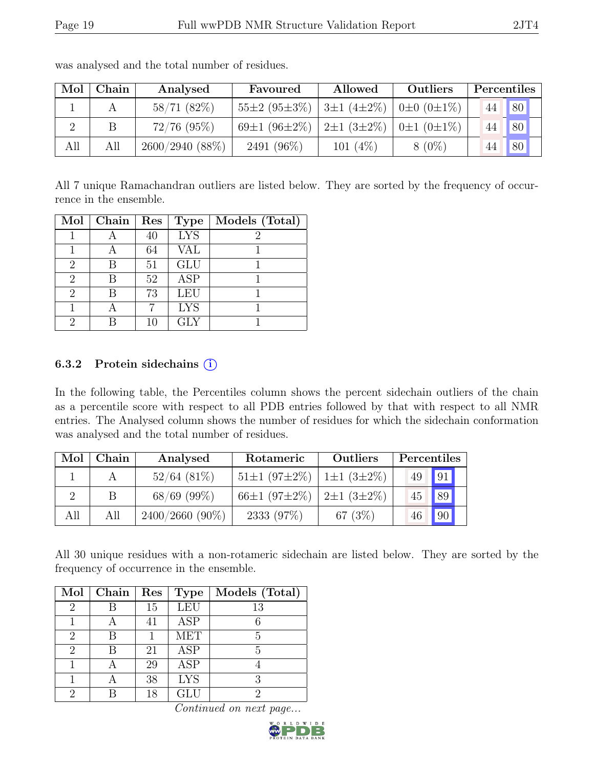| Mol | Chain | Analysed          | Favoured                      | Allowed                      | Outliers              | Percentiles |    |
|-----|-------|-------------------|-------------------------------|------------------------------|-----------------------|-------------|----|
|     |       | 58/71(82%)        | $55\pm2(95\pm3\%)$            | $\pm 3 \pm 1$ (4 $\pm 2\%$ ) | $0\pm 0$ $(0\pm 1\%)$ | 44          | 80 |
| റ   |       | $72/76$ $(95\%)$  | 69 $\pm$ 1 (96 $\pm$ 2 $\%$ ) | $2\pm1(3\pm2\%)$             | $0\pm1(0\pm1\%)$      |             | 80 |
| All | All   | $2600/2940(88\%)$ | 2491 (96%)                    | 101 $(4\%)$                  | $8(0\%)$              |             | 80 |

was analysed and the total number of residues.

All 7 unique Ramachandran outliers are listed below. They are sorted by the frequency of occurrence in the ensemble.

| Mol                         | Chain | Res | <b>Type</b> | Models (Total) |
|-----------------------------|-------|-----|-------------|----------------|
|                             |       | 40  | <b>LYS</b>  |                |
|                             |       | 64  | VAL         |                |
| $\mathcal{D}_{\mathcal{L}}$ | R     | 51  | GLU         |                |
| $\mathcal{D}_{\mathcal{L}}$ | R     | 52  | <b>ASP</b>  |                |
| $\mathcal{D}_{\mathcal{L}}$ |       | 73  | <b>LEU</b>  |                |
|                             |       |     | <b>LYS</b>  |                |
| 2                           |       | 10  | <b>GLY</b>  |                |

### 6.3.2 Protein sidechains  $(i)$

In the following table, the Percentiles column shows the percent sidechain outliers of the chain as a percentile score with respect to all PDB entries followed by that with respect to all NMR entries. The Analysed column shows the number of residues for which the sidechain conformation was analysed and the total number of residues.

| Mol | Chain | Analysed          | Rotameric          | Outliers         | Percentiles |              |  |
|-----|-------|-------------------|--------------------|------------------|-------------|--------------|--|
|     |       | $52/64$ $(81\%)$  | $51\pm1(97\pm2\%)$ | $1\pm1(3\pm2\%)$ | 49          | 91           |  |
|     |       | $68/69$ (99%)     | $66\pm1(97\pm2\%)$ | $2\pm1(3\pm2\%)$ | 45          | 89           |  |
| All | All   | $2400/2660(90\%)$ | 2333 (97\%)        | 67 $(3%)$        | 46          | $\boxed{90}$ |  |

All 30 unique residues with a non-rotameric sidechain are listed below. They are sorted by the frequency of occurrence in the ensemble.

| Mol            | Chain | Res | <b>Type</b> | Models (Total) |
|----------------|-------|-----|-------------|----------------|
| 2              |       | 15  | <b>LEU</b>  | 13             |
|                |       | 41  | <b>ASP</b>  |                |
| $\overline{2}$ | R     |     | <b>MET</b>  | 5              |
| $\overline{2}$ |       | 21  | <b>ASP</b>  | 5              |
|                |       | 29  | <b>ASP</b>  |                |
|                |       | 38  | <b>LYS</b>  | २              |
| 2              |       | 18  | GLU         | 9              |

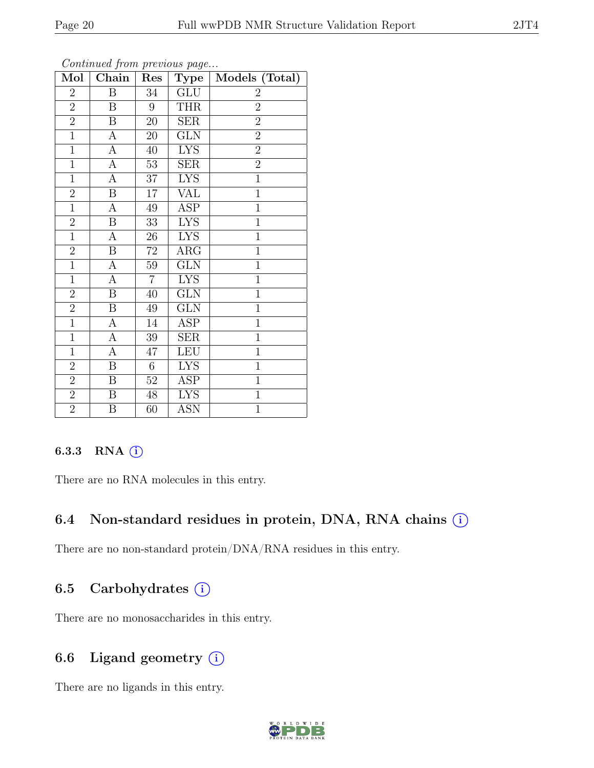| Mol            | o o noonow yn o men proceso won pwychm<br>Chain | Res             | Type       | Models (Total)   |
|----------------|-------------------------------------------------|-----------------|------------|------------------|
| $\overline{2}$ | $\boldsymbol{B}$                                | 34              | GLU        | $\boldsymbol{2}$ |
| $\overline{2}$ | $\boldsymbol{B}$                                | 9               | <b>THR</b> | $\overline{2}$   |
| $\overline{2}$ | $\overline{B}$                                  | $20\,$          | <b>SER</b> | $\overline{2}$   |
| $\mathbf{1}$   | $\boldsymbol{A}$                                | 20              | GLN        | $\overline{2}$   |
| $\overline{1}$ | $\boldsymbol{A}$                                | $40\,$          | <b>LYS</b> | $\overline{2}$   |
| $\mathbf{1}$   | $\mathbf{A}$                                    | 53              | <b>SER</b> | $\overline{2}$   |
| $\mathbf{1}$   | $\overline{A}$                                  | 37              | <b>LYS</b> | $\overline{1}$   |
| $\overline{2}$ | $\overline{B}$                                  | 17              | <b>VAL</b> | $\overline{1}$   |
| $\mathbf{1}$   | $\overline{A}$                                  | 49              | ASP        | $\mathbf{1}$     |
| $\overline{2}$ | $\overline{B}$                                  | $\overline{33}$ | <b>LYS</b> | $\overline{1}$   |
| $\overline{1}$ | $\overline{A}$                                  | 26              | <b>LYS</b> | $\mathbf{1}$     |
| $\overline{2}$ | $\boldsymbol{B}$                                | $72\,$          | $\rm{ARG}$ | $\overline{1}$   |
| $\overline{1}$ | $\overline{A}$                                  | 59              | <b>GLN</b> | $\overline{1}$   |
| $\mathbf 1$    | $\boldsymbol{\rm{A}}$                           | $\overline{7}$  | <b>LYS</b> | $\mathbf 1$      |
| $\overline{2}$ | $\boldsymbol{B}$                                | 40              | <b>GLN</b> | $\mathbf{1}$     |
| $\overline{2}$ | $\, {\bf B}$                                    | 49              | GLN        | $\mathbf{1}$     |
| $\overline{1}$ | $\boldsymbol{A}$                                | 14              | ASP        | $\mathbf{1}$     |
| $\overline{1}$ | $\mathbf{A}$                                    | 39              | <b>SER</b> | $\mathbf{1}$     |
| $\overline{1}$ | $\boldsymbol{A}$                                | 47              | <b>LEU</b> | $\mathbf{1}$     |
| $\overline{2}$ | $\overline{\mathbf{B}}$                         | 6               | <b>LYS</b> | $\overline{1}$   |
| $\overline{2}$ | $\, {\bf B}$                                    | 52              | ASP        | $\mathbf{1}$     |
| $\overline{2}$ | $\overline{\mathrm{B}}$                         | 48              | <b>LYS</b> | $\overline{1}$   |
| $\overline{2}$ | $\, {\bf B}$                                    | 60              | ASN        | $\mathbf{1}$     |

Continued from previous page...

## 6.3.3 RNA  $(i)$

There are no RNA molecules in this entry.

## 6.4 Non-standard residues in protein, DNA, RNA chains  $(i)$

There are no non-standard protein/DNA/RNA residues in this entry.

# 6.5 Carbohydrates  $(i)$

There are no monosaccharides in this entry.

# 6.6 Ligand geometry  $(i)$

There are no ligands in this entry.

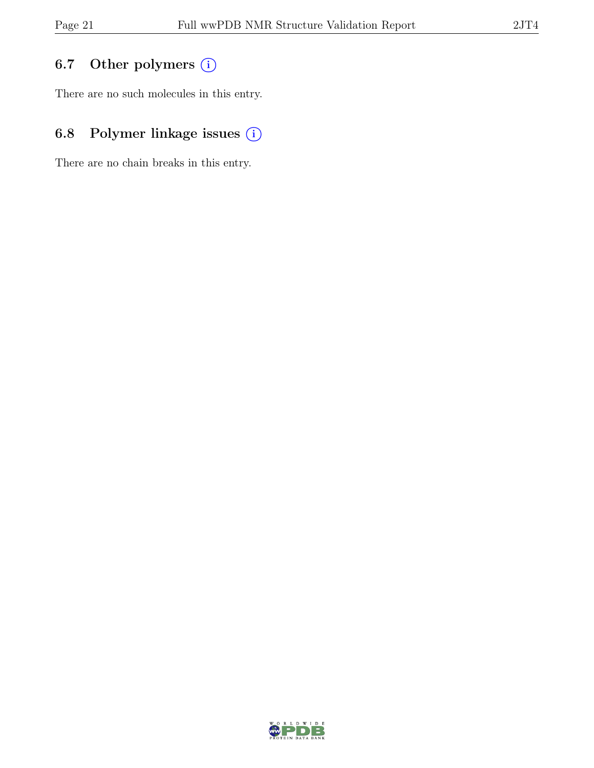# 6.7 Other polymers (i)

There are no such molecules in this entry.

# 6.8 Polymer linkage issues (i)

There are no chain breaks in this entry.